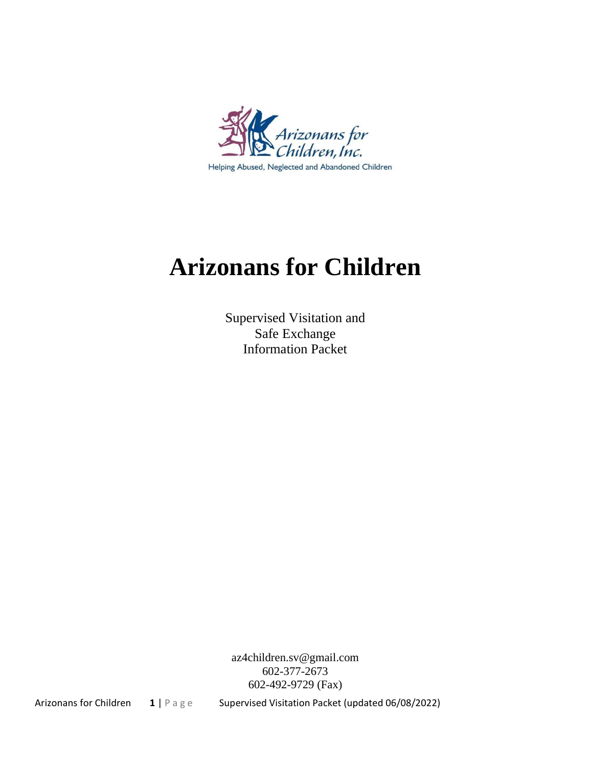

Helping Abused, Neglected and Abandoned Children

# **Arizonans for Children**

Supervised Visitation and Safe Exchange Information Packet

az4children.sv@gmail.com 602-377-2673 602-492-9729 (Fax)

Arizonans for Children **1** | P a g e Supervised Visitation Packet (updated 06/08/2022)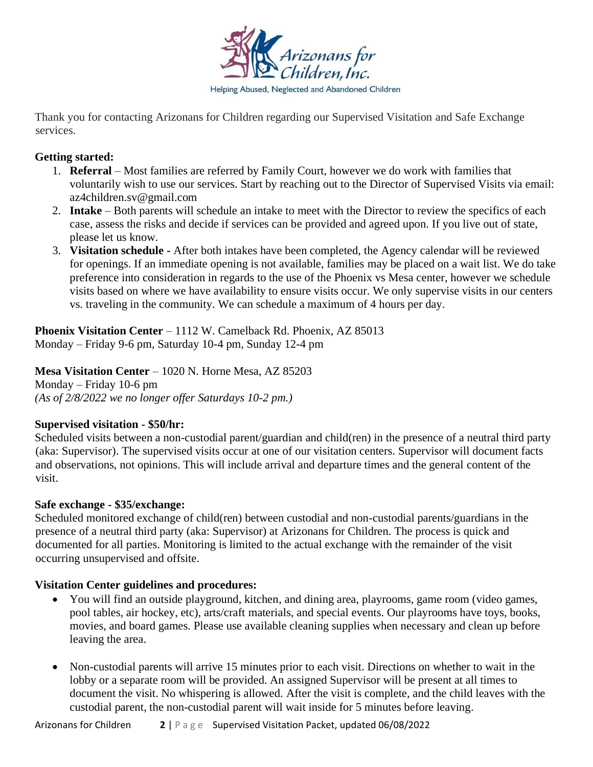

Thank you for contacting Arizonans for Children regarding our Supervised Visitation and Safe Exchange services.

#### **Getting started:**

- 1. **Referral**  Most families are referred by Family Court, however we do work with families that voluntarily wish to use our services. Start by reaching out to the Director of Supervised Visits via email: az4children.sv@gmail.com
- 2. **Intake** Both parents will schedule an intake to meet with the Director to review the specifics of each case, assess the risks and decide if services can be provided and agreed upon. If you live out of state, please let us know.
- 3. **Visitation schedule -** After both intakes have been completed, the Agency calendar will be reviewed for openings. If an immediate opening is not available, families may be placed on a wait list. We do take preference into consideration in regards to the use of the Phoenix vs Mesa center, however we schedule visits based on where we have availability to ensure visits occur. We only supervise visits in our centers vs. traveling in the community. We can schedule a maximum of 4 hours per day.

**Phoenix Visitation Center** – 1112 W. Camelback Rd. Phoenix, AZ 85013 Monday – Friday 9-6 pm, Saturday 10-4 pm, Sunday 12-4 pm

**Mesa Visitation Center** – 1020 N. Horne Mesa, AZ 85203 Monday – Friday 10-6 pm *(As of 2/8/2022 we no longer offer Saturdays 10-2 pm.)*

#### **Supervised visitation - \$50/hr:**

Scheduled visits between a non-custodial parent/guardian and child(ren) in the presence of a neutral third party (aka: Supervisor). The supervised visits occur at one of our visitation centers. Supervisor will document facts and observations, not opinions. This will include arrival and departure times and the general content of the visit.

#### **Safe exchange - \$35/exchange:**

Scheduled monitored exchange of child(ren) between custodial and non-custodial parents/guardians in the presence of a neutral third party (aka: Supervisor) at Arizonans for Children. The process is quick and documented for all parties. Monitoring is limited to the actual exchange with the remainder of the visit occurring unsupervised and offsite.

#### **Visitation Center guidelines and procedures:**

- You will find an outside playground, kitchen, and dining area, playrooms, game room (video games, pool tables, air hockey, etc), arts/craft materials, and special events. Our playrooms have toys, books, movies, and board games. Please use available cleaning supplies when necessary and clean up before leaving the area.
- Non-custodial parents will arrive 15 minutes prior to each visit. Directions on whether to wait in the lobby or a separate room will be provided. An assigned Supervisor will be present at all times to document the visit. No whispering is allowed. After the visit is complete, and the child leaves with the custodial parent, the non-custodial parent will wait inside for 5 minutes before leaving.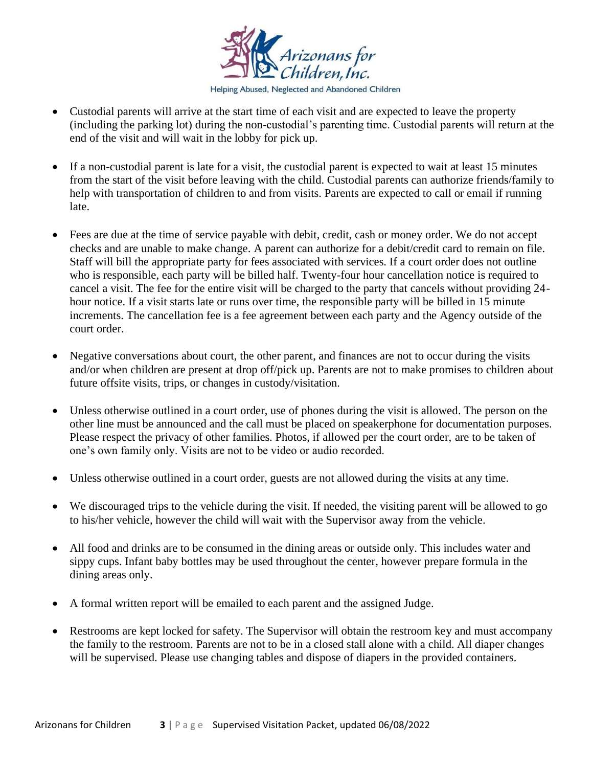

- Custodial parents will arrive at the start time of each visit and are expected to leave the property (including the parking lot) during the non-custodial's parenting time. Custodial parents will return at the end of the visit and will wait in the lobby for pick up.
- If a non-custodial parent is late for a visit, the custodial parent is expected to wait at least 15 minutes from the start of the visit before leaving with the child. Custodial parents can authorize friends/family to help with transportation of children to and from visits. Parents are expected to call or email if running late.
- Fees are due at the time of service payable with debit, credit, cash or money order. We do not accept checks and are unable to make change. A parent can authorize for a debit/credit card to remain on file. Staff will bill the appropriate party for fees associated with services. If a court order does not outline who is responsible, each party will be billed half. Twenty-four hour cancellation notice is required to cancel a visit. The fee for the entire visit will be charged to the party that cancels without providing 24 hour notice. If a visit starts late or runs over time, the responsible party will be billed in 15 minute increments. The cancellation fee is a fee agreement between each party and the Agency outside of the court order.
- Negative conversations about court, the other parent, and finances are not to occur during the visits and/or when children are present at drop off/pick up. Parents are not to make promises to children about future offsite visits, trips, or changes in custody/visitation.
- Unless otherwise outlined in a court order, use of phones during the visit is allowed. The person on the other line must be announced and the call must be placed on speakerphone for documentation purposes. Please respect the privacy of other families. Photos, if allowed per the court order, are to be taken of one's own family only. Visits are not to be video or audio recorded.
- Unless otherwise outlined in a court order, guests are not allowed during the visits at any time.
- We discouraged trips to the vehicle during the visit. If needed, the visiting parent will be allowed to go to his/her vehicle, however the child will wait with the Supervisor away from the vehicle.
- All food and drinks are to be consumed in the dining areas or outside only. This includes water and sippy cups. Infant baby bottles may be used throughout the center, however prepare formula in the dining areas only.
- A formal written report will be emailed to each parent and the assigned Judge.
- Restrooms are kept locked for safety. The Supervisor will obtain the restroom key and must accompany the family to the restroom. Parents are not to be in a closed stall alone with a child. All diaper changes will be supervised. Please use changing tables and dispose of diapers in the provided containers.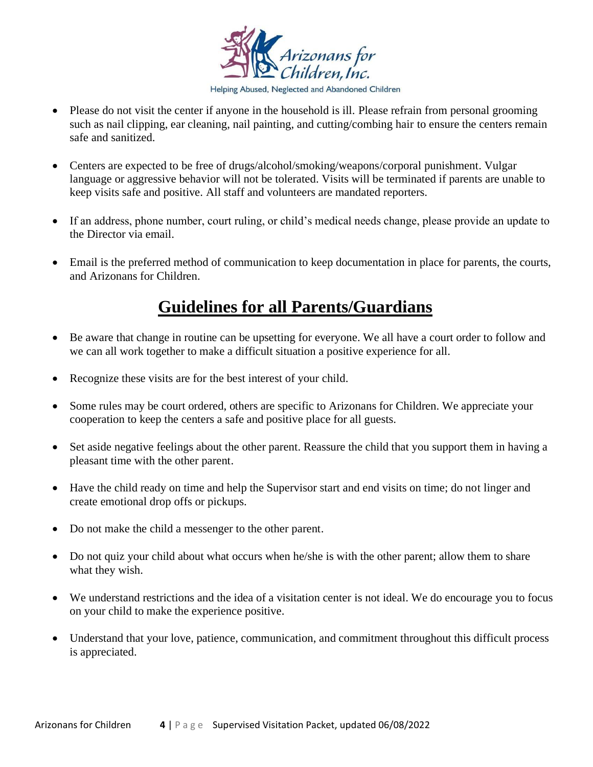

- Please do not visit the center if anyone in the household is ill. Please refrain from personal grooming such as nail clipping, ear cleaning, nail painting, and cutting/combing hair to ensure the centers remain safe and sanitized.
- Centers are expected to be free of drugs/alcohol/smoking/weapons/corporal punishment. Vulgar language or aggressive behavior will not be tolerated. Visits will be terminated if parents are unable to keep visits safe and positive. All staff and volunteers are mandated reporters.
- If an address, phone number, court ruling, or child's medical needs change, please provide an update to the Director via email.
- Email is the preferred method of communication to keep documentation in place for parents, the courts, and Arizonans for Children.

## **Guidelines for all Parents/Guardians**

- Be aware that change in routine can be upsetting for everyone. We all have a court order to follow and we can all work together to make a difficult situation a positive experience for all.
- Recognize these visits are for the best interest of your child.
- Some rules may be court ordered, others are specific to Arizonans for Children. We appreciate your cooperation to keep the centers a safe and positive place for all guests.
- Set aside negative feelings about the other parent. Reassure the child that you support them in having a pleasant time with the other parent.
- Have the child ready on time and help the Supervisor start and end visits on time; do not linger and create emotional drop offs or pickups.
- Do not make the child a messenger to the other parent.
- Do not quiz your child about what occurs when he/she is with the other parent; allow them to share what they wish.
- We understand restrictions and the idea of a visitation center is not ideal. We do encourage you to focus on your child to make the experience positive.
- Understand that your love, patience, communication, and commitment throughout this difficult process is appreciated.